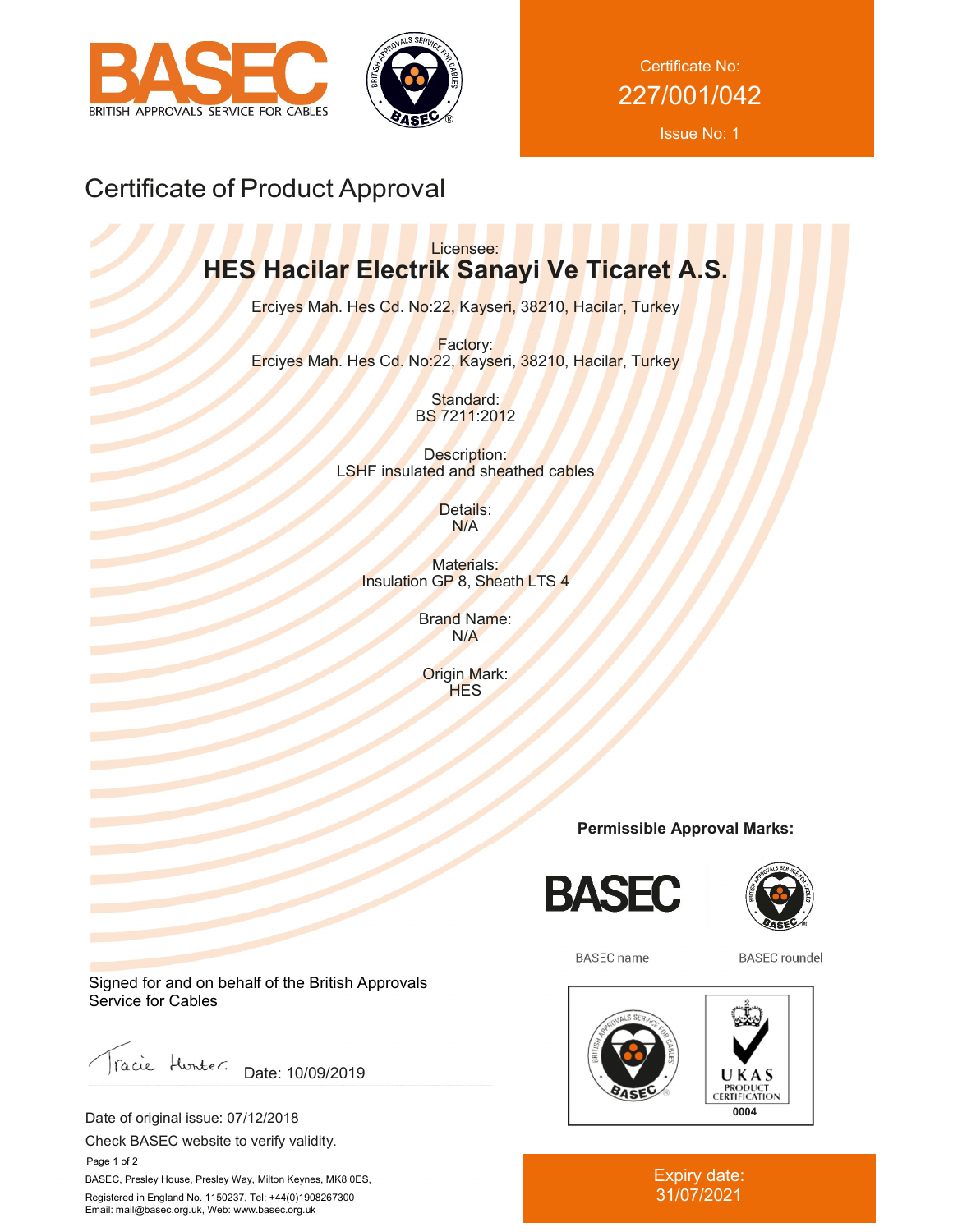



Certificate No: 227/001/042

Issue No: 1

# Certificate of Product Approval

### Licensee: **HES Hacilar Electrik Sanayi Ve Ticaret A.S.**

Erciyes Mah. Hes Cd. No:22, Kayseri, 38210, Hacilar, Turkey

Factory: Erciyes Mah. Hes Cd. No:22, Kayseri, 38210, Hacilar, Turkey

> Standard: BS 7211:2012

Description: LSHF insulated and sheathed cables

> Details: N/A

Materials: Insulation GP 8, Sheath LTS 4

> Brand Name: N/A

Origin Mark: **HES** 

### **Permissible Approval Marks:**





**BASEC** name

**BASEC** roundel



Expiry date: 31/07/2021

Signed for and on behalf of the British Approvals Service for Cables

racie Hunter. Date: 10/09/2019

Date of original issue: 07/12/2018

Check BASEC website to verify validity.

 Page 1 of 2 BASEC, Presley House, Presley Way, Milton Keynes, MK8 0ES, Registered in England No. 1150237, Tel: +44(0)1908267300 Email: mail@basec.org.uk, Web: www.basec.org.uk